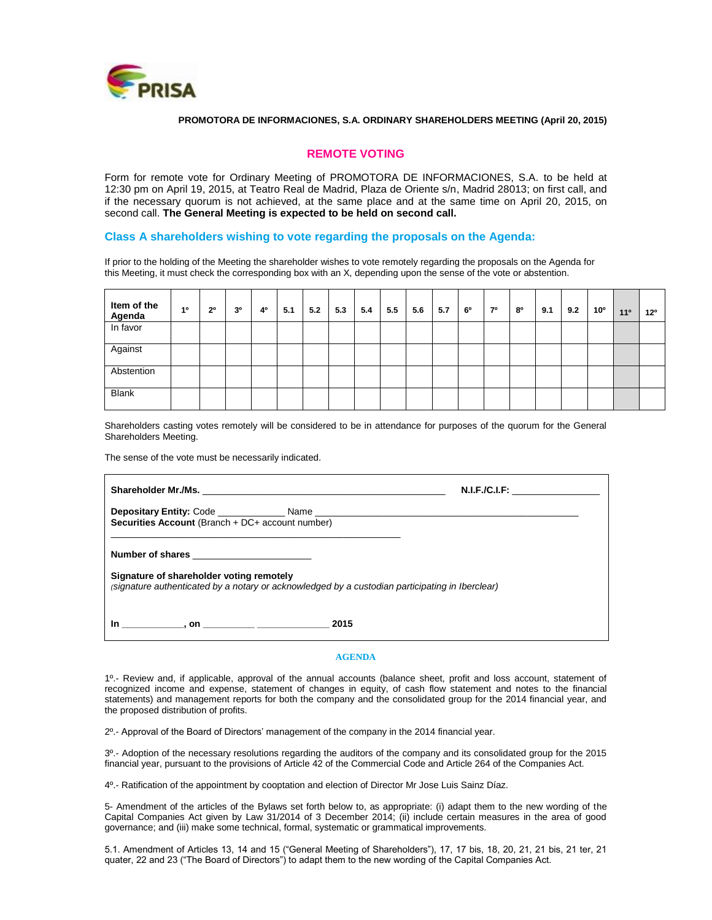

#### **PROMOTORA DE INFORMACIONES, S.A. ORDINARY SHAREHOLDERS MEETING (April 20, 2015)**

### **REMOTE VOTING**

Form for remote vote for Ordinary Meeting of PROMOTORA DE INFORMACIONES, S.A. to be held at 12:30 pm on April 19, 2015, at Teatro Real de Madrid, Plaza de Oriente s/n, Madrid 28013; on first call, and if the necessary quorum is not achieved, at the same place and at the same time on April 20, 2015, on second call. **The General Meeting is expected to be held on second call.**

### **Class A shareholders wishing to vote regarding the proposals on the Agenda:**

If prior to the holding of the Meeting the shareholder wishes to vote remotely regarding the proposals on the Agenda for this Meeting, it must check the corresponding box with an X, depending upon the sense of the vote or abstention.

| Item of the<br>Agenda | 10 | 2 <sup>o</sup> | 30 | 4° | 5.1 | 5.2 | 5.3 | 5.4 | 5.5 | 5.6 | 5.7 | 60 | 70 | 80 | 9.1 | 9.2 | 10° | 11 <sup>°</sup> | $12^{\circ}$ |
|-----------------------|----|----------------|----|----|-----|-----|-----|-----|-----|-----|-----|----|----|----|-----|-----|-----|-----------------|--------------|
| In favor              |    |                |    |    |     |     |     |     |     |     |     |    |    |    |     |     |     |                 |              |
| Against               |    |                |    |    |     |     |     |     |     |     |     |    |    |    |     |     |     |                 |              |
| Abstention            |    |                |    |    |     |     |     |     |     |     |     |    |    |    |     |     |     |                 |              |
| <b>Blank</b>          |    |                |    |    |     |     |     |     |     |     |     |    |    |    |     |     |     |                 |              |

Shareholders casting votes remotely will be considered to be in attendance for purposes of the quorum for the General Shareholders Meeting.

The sense of the vote must be necessarily indicated.

|                                                                                                                                                                 | N.I.F. / C.I.F. |  |  |  |  |
|-----------------------------------------------------------------------------------------------------------------------------------------------------------------|-----------------|--|--|--|--|
| Securities Account (Branch + DC+ account number)                                                                                                                |                 |  |  |  |  |
| Number of shares<br>Signature of shareholder voting remotely<br>(signature authenticated by a notary or acknowledged by a custodian participating in Iberclear) |                 |  |  |  |  |
| $\blacksquare$ , on $\blacksquare$                                                                                                                              | 2015            |  |  |  |  |

#### **AGENDA**

1º.- Review and, if applicable, approval of the annual accounts (balance sheet, profit and loss account, statement of recognized income and expense, statement of changes in equity, of cash flow statement and notes to the financial statements) and management reports for both the company and the consolidated group for the 2014 financial year, and the proposed distribution of profits.

2º.- Approval of the Board of Directors' management of the company in the 2014 financial year.

3º.- Adoption of the necessary resolutions regarding the auditors of the company and its consolidated group for the 2015 financial year, pursuant to the provisions of Article 42 of the Commercial Code and Article 264 of the Companies Act.

4º.- Ratification of the appointment by cooptation and election of Director Mr Jose Luis Sainz Díaz.

5- Amendment of the articles of the Bylaws set forth below to, as appropriate: (i) adapt them to the new wording of the Capital Companies Act given by Law 31/2014 of 3 December 2014; (ii) include certain measures in the area of good governance; and (iii) make some technical, formal, systematic or grammatical improvements.

5.1. Amendment of Articles 13, 14 and 15 ("General Meeting of Shareholders"), 17, 17 bis, 18, 20, 21, 21 bis, 21 ter, 21 quater, 22 and 23 ("The Board of Directors") to adapt them to the new wording of the Capital Companies Act.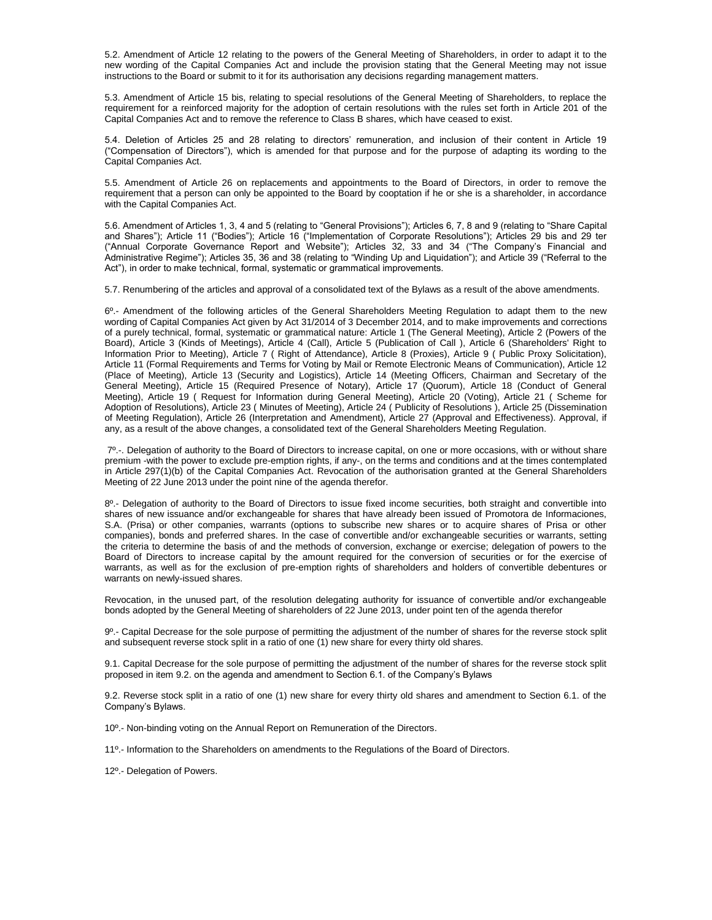5.2. Amendment of Article 12 relating to the powers of the General Meeting of Shareholders, in order to adapt it to the new wording of the Capital Companies Act and include the provision stating that the General Meeting may not issue instructions to the Board or submit to it for its authorisation any decisions regarding management matters.

5.3. Amendment of Article 15 bis, relating to special resolutions of the General Meeting of Shareholders, to replace the requirement for a reinforced majority for the adoption of certain resolutions with the rules set forth in Article 201 of the Capital Companies Act and to remove the reference to Class B shares, which have ceased to exist.

5.4. Deletion of Articles 25 and 28 relating to directors' remuneration, and inclusion of their content in Article 19 ("Compensation of Directors"), which is amended for that purpose and for the purpose of adapting its wording to the Capital Companies Act.

5.5. Amendment of Article 26 on replacements and appointments to the Board of Directors, in order to remove the requirement that a person can only be appointed to the Board by cooptation if he or she is a shareholder, in accordance with the Capital Companies Act.

5.6. Amendment of Articles 1, 3, 4 and 5 (relating to "General Provisions"); Articles 6, 7, 8 and 9 (relating to "Share Capital and Shares"); Article 11 ("Bodies"); Article 16 ("Implementation of Corporate Resolutions"); Articles 29 bis and 29 ter ("Annual Corporate Governance Report and Website"); Articles 32, 33 and 34 ("The Company's Financial and Administrative Regime"); Articles 35, 36 and 38 (relating to "Winding Up and Liquidation"); and Article 39 ("Referral to the Act"), in order to make technical, formal, systematic or grammatical improvements.

5.7. Renumbering of the articles and approval of a consolidated text of the Bylaws as a result of the above amendments.

6º.- Amendment of the following articles of the General Shareholders Meeting Regulation to adapt them to the new wording of Capital Companies Act given by Act 31/2014 of 3 December 2014, and to make improvements and corrections of a purely technical, formal, systematic or grammatical nature: Article 1 (The General Meeting), Article 2 (Powers of the Board), Article 3 (Kinds of Meetings), Article 4 (Call), Article 5 (Publication of Call ), Article 6 (Shareholders' Right to Information Prior to Meeting), Article 7 ( Right of Attendance), Article 8 (Proxies), Article 9 ( Public Proxy Solicitation), Article 11 (Formal Requirements and Terms for Voting by Mail or Remote Electronic Means of Communication), Article 12 (Place of Meeting), Article 13 (Security and Logistics), Article 14 (Meeting Officers, Chairman and Secretary of the General Meeting), Article 15 (Required Presence of Notary), Article 17 (Quorum), Article 18 (Conduct of General Meeting), Article 19 ( Request for Information during General Meeting), Article 20 (Voting), Article 21 ( Scheme for Adoption of Resolutions), Article 23 ( Minutes of Meeting), Article 24 ( Publicity of Resolutions ), Article 25 (Dissemination of Meeting Regulation), Article 26 (Interpretation and Amendment), Article 27 (Approval and Effectiveness). Approval, if any, as a result of the above changes, a consolidated text of the General Shareholders Meeting Regulation.

7º.-. Delegation of authority to the Board of Directors to increase capital, on one or more occasions, with or without share premium -with the power to exclude pre-emption rights, if any-, on the terms and conditions and at the times contemplated in Article 297(1)(b) of the Capital Companies Act. Revocation of the authorisation granted at the General Shareholders Meeting of 22 June 2013 under the point nine of the agenda therefor.

8<sup>0</sup>.- Delegation of authority to the Board of Directors to issue fixed income securities, both straight and convertible into shares of new issuance and/or exchangeable for shares that have already been issued of Promotora de Informaciones, S.A. (Prisa) or other companies, warrants (options to subscribe new shares or to acquire shares of Prisa or other companies), bonds and preferred shares. In the case of convertible and/or exchangeable securities or warrants, setting the criteria to determine the basis of and the methods of conversion, exchange or exercise; delegation of powers to the Board of Directors to increase capital by the amount required for the conversion of securities or for the exercise of warrants, as well as for the exclusion of pre-emption rights of shareholders and holders of convertible debentures or warrants on newly-issued shares.

Revocation, in the unused part, of the resolution delegating authority for issuance of convertible and/or exchangeable bonds adopted by the General Meeting of shareholders of 22 June 2013, under point ten of the agenda therefor

9º.- Capital Decrease for the sole purpose of permitting the adjustment of the number of shares for the reverse stock split and subsequent reverse stock split in a ratio of one (1) new share for every thirty old shares.

9.1. Capital Decrease for the sole purpose of permitting the adjustment of the number of shares for the reverse stock split proposed in item 9.2. on the agenda and amendment to Section 6.1. of the Company's Bylaws

9.2. Reverse stock split in a ratio of one (1) new share for every thirty old shares and amendment to Section 6.1. of the Company's Bylaws.

10º.- Non-binding voting on the Annual Report on [Remuneration of the Directors.](http://www.prisa.com/uploads/ficheros/arboles/descargas/201403/descargas-remuneration-policy-report-en.pdf)

11º.- Information to the Shareholders on amendments to the Regulations of the Board of Directors.

12º.- Delegation of Powers.